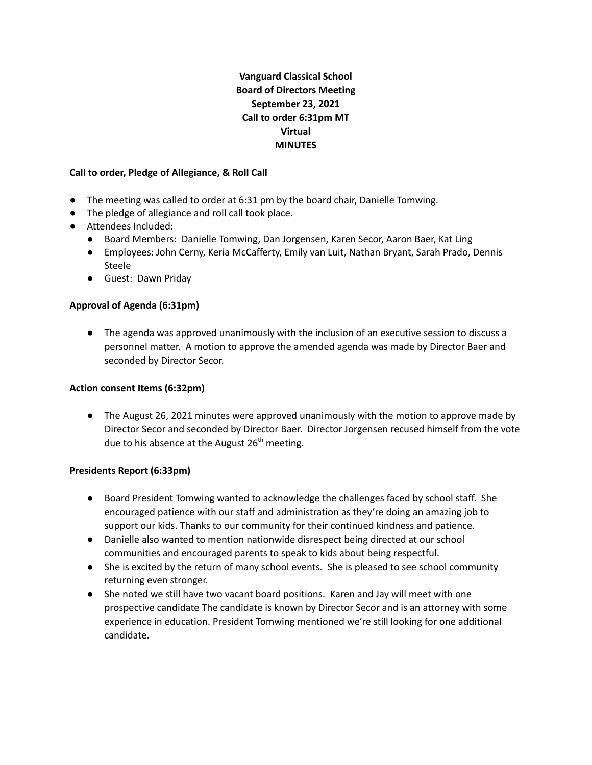# **Vanguard Classical School Board of Directors Meeting September 23, 2021 Call to order 6:31pm MT Virtual MINUTES**

#### **Call to order, Pledge of Allegiance, & Roll Call**

- The meeting was called to order at 6:31 pm by the board chair, Danielle Tomwing.
- The pledge of allegiance and roll call took place.
- Attendees Included:
	- Board Members: Danielle Tomwing, Dan Jorgensen, Karen Secor, Aaron Baer, Kat Ling
	- Employees: John Cerny, Keria McCafferty, Emily van Luit, Nathan Bryant, Sarah Prado, Dennis Steele
	- Guest: Dawn Priday

# **Approval of Agenda (6:31pm)**

● The agenda was approved unanimously with the inclusion of an executive session to discuss a personnel matter. A motion to approve the amended agenda was made by Director Baer and seconded by Director Secor.

# **Action consent Items (6:32pm)**

● The August 26, 2021 minutes were approved unanimously with the motion to approve made by Director Secor and seconded by Director Baer. Director Jorgensen recused himself from the vote due to his absence at the August 26<sup>th</sup> meeting.

# **Presidents Report (6:33pm)**

- Board President Tomwing wanted to acknowledge the challenges faced by school staff. She encouraged patience with our staff and administration as they're doing an amazing job to support our kids. Thanks to our community for their continued kindness and patience.
- Danielle also wanted to mention nationwide disrespect being directed at our school communities and encouraged parents to speak to kids about being respectful.
- She is excited by the return of many school events. She is pleased to see school community returning even stronger.
- She noted we still have two vacant board positions. Karen and Jay will meet with one prospective candidate The candidate is known by Director Secor and is an attorney with some experience in education. President Tomwing mentioned we're still looking for one additional candidate.